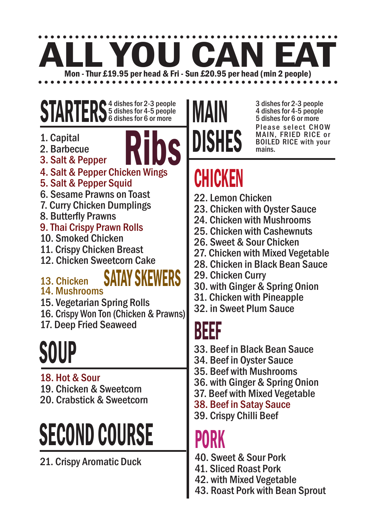# Mon - Thur £19.95 per head & Fri - Sun £20.95 per head (min 2 people)

#### STARTERS<sup>4</sup> dishes for 2-3 people 5 dishes for 4-5 people 6 dishes for 6 or more

- 1. Capital
- 



- 1. Capital<br>2. Barbecue<br>3. Salt & Pepper Chicken Wings 4. Salt & Pepper Chicken Wings
- 5. Salt & Pepper Squid
- 6. Sesame Prawns on Toast
- 7. Curry Chicken Dumplings
- 8. Butterfly Prawns

#### 9. Thai Crispy Prawn Rolls

- 10. Smoked Chicken
- 11. Crispy Chicken Breast
- 12. Chicken Sweetcorn Cake

#### 13. Chicken

#### SATAY SKEWERS

#### 14. Mushrooms

- 15. Vegetarian Spring Rolls
- 16. Crispy Won Ton (Chicken & Prawns)
- 17. Deep Fried Seaweed

# **SOUP**

#### 18. Hot & Sour 19. Chicken & Sweetcorn 20. Crabstick & Sweetcorn

# SECOND COURSE

21. Crispy Aromatic Duck

### MAIN DISHES

3 dishes for 2-3 people 4 dishes for 4-5 people 5 dishes for 6 or more Please select CHOW MAIN, FRIED RICE or BOILED RICE with your mains.

### CHICKEN

- 22. Lemon Chicken
- 23. Chicken with Oyster Sauce
- 24. Chicken with Mushrooms
- 25. Chicken with Cashewnuts
- 26. Sweet & Sour Chicken
- 27. Chicken with Mixed Vegetable
- 28. Chicken in Black Bean Sauce
- 29. Chicken Curry
- 30. with Ginger & Spring Onion
- 31. Chicken with Pineapple
- 32. in Sweet Plum Sauce

#### BEEF

- 33. Beef in Black Bean Sauce
- 34. Beef in Oyster Sauce
- 35. Beef with Mushrooms
- 36. with Ginger & Spring Onion
- 37. Beef with Mixed Vegetable
- 38. Beef in Satay Sauce
- 39. Crispy Chilli Beef

#### **PURN**

- 40. Sweet & Sour Pork
- 41. Sliced Roast Pork
- 42. with Mixed Vegetable
- 43. Roast Pork with Bean Sprout